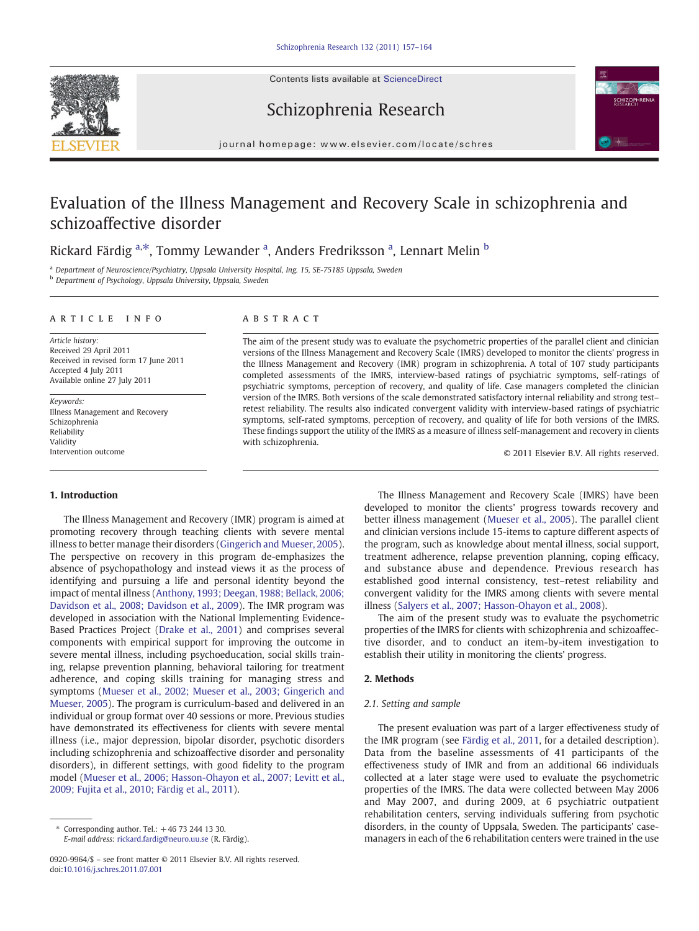Contents lists available at ScienceDirect







journal homepage: www.elsevier.com/locate/schres

## Evaluation of the Illness Management and Recovery Scale in schizophrenia and schizoaffective disorder

### Rickard Färdig <sup>a,\*</sup>, Tommy Lewander <sup>a</sup>, Anders Fredriksson <sup>a</sup>, Lennart Melin <sup>b</sup>

<sup>a</sup> Department of Neuroscience/Psychiatry, Uppsala University Hospital, Ing. 15, SE-75185 Uppsala, Sweden **b** Department of Psychology, Uppsala University, Uppsala, Sweden

#### article info abstract

Article history: Received 29 April 2011 Received in revised form 17 June 2011 Accepted 4 July 2011 Available online 27 July 2011

Keywords: Illness Management and Recovery Schizophrenia Reliability Validity Intervention outcome

#### 1. Introduction

The aim of the present study was to evaluate the psychometric properties of the parallel client and clinician versions of the Illness Management and Recovery Scale (IMRS) developed to monitor the clients' progress in the Illness Management and Recovery (IMR) program in schizophrenia. A total of 107 study participants completed assessments of the IMRS, interview-based ratings of psychiatric symptoms, self-ratings of psychiatric symptoms, perception of recovery, and quality of life. Case managers completed the clinician version of the IMRS. Both versions of the scale demonstrated satisfactory internal reliability and strong test– retest reliability. The results also indicated convergent validity with interview-based ratings of psychiatric symptoms, self-rated symptoms, perception of recovery, and quality of life for both versions of the IMRS. These findings support the utility of the IMRS as a measure of illness self-management and recovery in clients with schizophrenia.

© 2011 Elsevier B.V. All rights reserved.

The Illness Management and Recovery (IMR) program is aimed at promoting recovery through teaching clients with severe mental illness to better manage their disorders ([Gingerich and Mueser, 2005](#page--1-0)). The perspective on recovery in this program de-emphasizes the absence of psychopathology and instead views it as the process of identifying and pursuing a life and personal identity beyond the impact of mental illness [\(Anthony, 1993; Deegan, 1988; Bellack, 2006;](#page--1-0) [Davidson et al., 2008; Davidson et al., 2009](#page--1-0)). The IMR program was developed in association with the National Implementing Evidence-Based Practices Project [\(Drake et al., 2001](#page--1-0)) and comprises several components with empirical support for improving the outcome in severe mental illness, including psychoeducation, social skills training, relapse prevention planning, behavioral tailoring for treatment adherence, and coping skills training for managing stress and symptoms [\(Mueser et al., 2002; Mueser et al., 2003; Gingerich and](#page--1-0) [Mueser, 2005\)](#page--1-0). The program is curriculum-based and delivered in an individual or group format over 40 sessions or more. Previous studies have demonstrated its effectiveness for clients with severe mental illness (i.e., major depression, bipolar disorder, psychotic disorders including schizophrenia and schizoaffective disorder and personality disorders), in different settings, with good fidelity to the program model [\(Mueser et al., 2006; Hasson-Ohayon et al., 2007; Levitt et al.,](#page--1-0) [2009; Fujita et al., 2010; Färdig et al., 2011\)](#page--1-0).

The Illness Management and Recovery Scale (IMRS) have been developed to monitor the clients' progress towards recovery and better illness management [\(Mueser et al., 2005\)](#page--1-0). The parallel client and clinician versions include 15-items to capture different aspects of the program, such as knowledge about mental illness, social support, treatment adherence, relapse prevention planning, coping efficacy, and substance abuse and dependence. Previous research has established good internal consistency, test–retest reliability and convergent validity for the IMRS among clients with severe mental illness [\(Salyers et al., 2007; Hasson-Ohayon et al., 2008](#page--1-0)).

The aim of the present study was to evaluate the psychometric properties of the IMRS for clients with schizophrenia and schizoaffective disorder, and to conduct an item-by-item investigation to establish their utility in monitoring the clients' progress.

### 2. Methods

#### 2.1. Setting and sample

The present evaluation was part of a larger effectiveness study of the IMR program (see [Färdig et al., 2011,](#page--1-0) for a detailed description). Data from the baseline assessments of 41 participants of the effectiveness study of IMR and from an additional 66 individuals collected at a later stage were used to evaluate the psychometric properties of the IMRS. The data were collected between May 2006 and May 2007, and during 2009, at 6 psychiatric outpatient rehabilitation centers, serving individuals suffering from psychotic disorders, in the county of Uppsala, Sweden. The participants' casemanagers in each of the 6 rehabilitation centers were trained in the use

 $*$  Corresponding author. Tel.:  $+46$  73 244 13 30. E-mail address: [rickard.fardig@neuro.uu.se](mailto:rickard.fardig@neuro.uu.se) (R. Färdig).

<sup>0920-9964/\$</sup> – see front matter © 2011 Elsevier B.V. All rights reserved. doi:[10.1016/j.schres.2011.07.001](http://dx.doi.org/10.1016/j.schres.2011.07.001)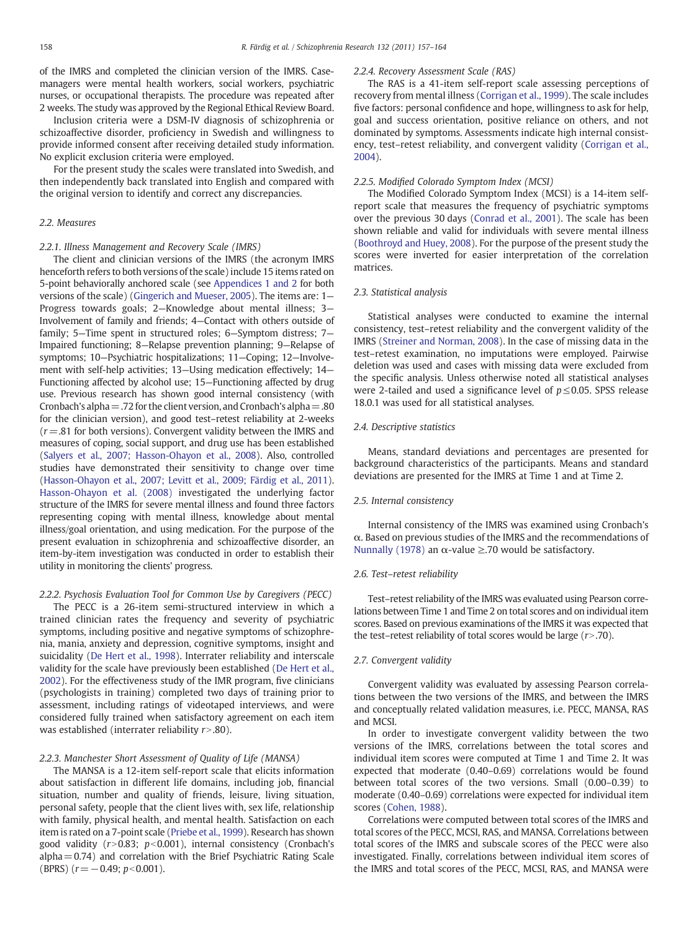of the IMRS and completed the clinician version of the IMRS. Casemanagers were mental health workers, social workers, psychiatric nurses, or occupational therapists. The procedure was repeated after 2 weeks. The study was approved by the Regional Ethical Review Board.

Inclusion criteria were a DSM-IV diagnosis of schizophrenia or schizoaffective disorder, proficiency in Swedish and willingness to provide informed consent after receiving detailed study information. No explicit exclusion criteria were employed.

For the present study the scales were translated into Swedish, and then independently back translated into English and compared with the original version to identify and correct any discrepancies.

#### 2.2. Measures

#### 2.2.1. Illness Management and Recovery Scale (IMRS)

The client and clinician versions of the IMRS (the acronym IMRS henceforth refers to both versions of the scale) include 15 items rated on 5-point behaviorally anchored scale (see [Appendices 1 and 2](#page--1-0) for both versions of the scale) [\(Gingerich and Mueser, 2005\)](#page--1-0). The items are: 1— Progress towards goals; 2—Knowledge about mental illness; 3— Involvement of family and friends; 4—Contact with others outside of family; 5—Time spent in structured roles; 6—Symptom distress; 7— Impaired functioning; 8—Relapse prevention planning; 9—Relapse of symptoms; 10—Psychiatric hospitalizations; 11—Coping; 12—Involvement with self-help activities; 13—Using medication effectively; 14— Functioning affected by alcohol use; 15—Functioning affected by drug use. Previous research has shown good internal consistency (with Cronbach's alpha  $=$  .72 for the client version, and Cronbach's alpha  $=$  .80 for the clinician version), and good test–retest reliability at 2-weeks  $(r=.81$  for both versions). Convergent validity between the IMRS and measures of coping, social support, and drug use has been established [\(Salyers et al., 2007; Hasson-Ohayon et al., 2008](#page--1-0)). Also, controlled studies have demonstrated their sensitivity to change over time [\(Hasson-Ohayon et al., 2007; Levitt et al., 2009; Färdig et al., 2011\)](#page--1-0). [Hasson-Ohayon et al. \(2008\)](#page--1-0) investigated the underlying factor structure of the IMRS for severe mental illness and found three factors representing coping with mental illness, knowledge about mental illness/goal orientation, and using medication. For the purpose of the present evaluation in schizophrenia and schizoaffective disorder, an item-by-item investigation was conducted in order to establish their utility in monitoring the clients' progress.

#### 2.2.2. Psychosis Evaluation Tool for Common Use by Caregivers (PECC)

The PECC is a 26-item semi-structured interview in which a trained clinician rates the frequency and severity of psychiatric symptoms, including positive and negative symptoms of schizophrenia, mania, anxiety and depression, cognitive symptoms, insight and suicidality [\(De Hert et al., 1998\)](#page--1-0). Interrater reliability and interscale validity for the scale have previously been established [\(De Hert et al.,](#page--1-0) [2002\)](#page--1-0). For the effectiveness study of the IMR program, five clinicians (psychologists in training) completed two days of training prior to assessment, including ratings of videotaped interviews, and were considered fully trained when satisfactory agreement on each item was established (interrater reliability  $r$  > .80).

#### 2.2.3. Manchester Short Assessment of Quality of Life (MANSA)

The MANSA is a 12-item self-report scale that elicits information about satisfaction in different life domains, including job, financial situation, number and quality of friends, leisure, living situation, personal safety, people that the client lives with, sex life, relationship with family, physical health, and mental health. Satisfaction on each item is rated on a 7-point scale ([Priebe et al., 1999](#page--1-0)). Research has shown good validity  $(r>0.83; p<0.001)$ , internal consistency (Cronbach's  $alpha=0.74$ ) and correlation with the Brief Psychiatric Rating Scale (BPRS)  $(r=-0.49; p<0.001)$ .

#### 2.2.4. Recovery Assessment Scale (RAS)

The RAS is a 41-item self-report scale assessing perceptions of recovery from mental illness ([Corrigan et al., 1999](#page--1-0)). The scale includes five factors: personal confidence and hope, willingness to ask for help, goal and success orientation, positive reliance on others, and not dominated by symptoms. Assessments indicate high internal consistency, test–retest reliability, and convergent validity ([Corrigan et al.,](#page--1-0) [2004\)](#page--1-0).

#### 2.2.5. Modified Colorado Symptom Index (MCSI)

The Modified Colorado Symptom Index (MCSI) is a 14-item selfreport scale that measures the frequency of psychiatric symptoms over the previous 30 days [\(Conrad et al., 2001](#page--1-0)). The scale has been shown reliable and valid for individuals with severe mental illness [\(Boothroyd and Huey, 2008](#page--1-0)). For the purpose of the present study the scores were inverted for easier interpretation of the correlation matrices.

#### 2.3. Statistical analysis

Statistical analyses were conducted to examine the internal consistency, test–retest reliability and the convergent validity of the IMRS [\(Streiner and Norman, 2008](#page--1-0)). In the case of missing data in the test–retest examination, no imputations were employed. Pairwise deletion was used and cases with missing data were excluded from the specific analysis. Unless otherwise noted all statistical analyses were 2-tailed and used a significance level of  $p \leq 0.05$ . SPSS release 18.0.1 was used for all statistical analyses.

#### 2.4. Descriptive statistics

Means, standard deviations and percentages are presented for background characteristics of the participants. Means and standard deviations are presented for the IMRS at Time 1 and at Time 2.

#### 2.5. Internal consistency

Internal consistency of the IMRS was examined using Cronbach's α. Based on previous studies of the IMRS and the recommendations of [Nunnally \(1978\)](#page--1-0) an  $\alpha$ -value ≥.70 would be satisfactory.

#### 2.6. Test–retest reliability

Test–retest reliability of the IMRS was evaluated using Pearson correlations between Time 1 and Time 2 on total scores and on individual item scores. Based on previous examinations of the IMRS it was expected that the test–retest reliability of total scores would be large  $(r>70)$ .

#### 2.7. Convergent validity

Convergent validity was evaluated by assessing Pearson correlations between the two versions of the IMRS, and between the IMRS and conceptually related validation measures, i.e. PECC, MANSA, RAS and MCSI.

In order to investigate convergent validity between the two versions of the IMRS, correlations between the total scores and individual item scores were computed at Time 1 and Time 2. It was expected that moderate (0.40–0.69) correlations would be found between total scores of the two versions. Small (0.00–0.39) to moderate (0.40–0.69) correlations were expected for individual item scores [\(Cohen, 1988\)](#page--1-0).

Correlations were computed between total scores of the IMRS and total scores of the PECC, MCSI, RAS, and MANSA. Correlations between total scores of the IMRS and subscale scores of the PECC were also investigated. Finally, correlations between individual item scores of the IMRS and total scores of the PECC, MCSI, RAS, and MANSA were